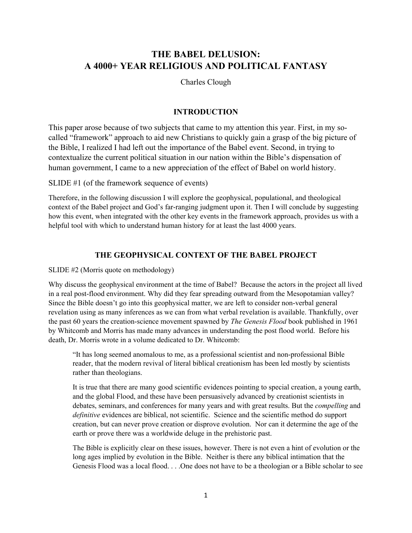# **THE BABEL DELUSION: A 4000+ YEAR RELIGIOUS AND POLITICAL FANTASY**

Charles Clough

#### **INTRODUCTION**

This paper arose because of two subjects that came to my attention this year. First, in my socalled "framework" approach to aid new Christians to quickly gain a grasp of the big picture of the Bible, I realized I had left out the importance of the Babel event. Second, in trying to contextualize the current political situation in our nation within the Bible's dispensation of human government, I came to a new appreciation of the effect of Babel on world history.

SLIDE #1 (of the framework sequence of events)

Therefore, in the following discussion I will explore the geophysical, populational, and theological context of the Babel project and God's far-ranging judgment upon it. Then I will conclude by suggesting how this event, when integrated with the other key events in the framework approach, provides us with a helpful tool with which to understand human history for at least the last 4000 years.

## **THE GEOPHYSICAL CONTEXT OF THE BABEL PROJECT**

SLIDE #2 (Morris quote on methodology)

Why discuss the geophysical environment at the time of Babel? Because the actors in the project all lived in a real post-flood environment. Why did they fear spreading outward from the Mesopotamian valley? Since the Bible doesn't go into this geophysical matter, we are left to consider non-verbal general revelation using as many inferences as we can from what verbal revelation is available. Thankfully, over the past 60 years the creation-science movement spawned by *The Genesis Flood* book published in 1961 by Whitcomb and Morris has made many advances in understanding the post flood world. Before his death, Dr. Morris wrote in a volume dedicated to Dr. Whitcomb:

"It has long seemed anomalous to me, as a professional scientist and non-professional Bible reader, that the modern revival of literal biblical creationism has been led mostly by scientists rather than theologians.

It is true that there are many good scientific evidences pointing to special creation, a young earth, and the global Flood, and these have been persuasively advanced by creationist scientists in debates, seminars, and conferences for many years and with great results. But the *compelling* and *definitive* evidences are biblical, not scientific. Science and the scientific method do support creation, but can never prove creation or disprove evolution. Nor can it determine the age of the earth or prove there was a worldwide deluge in the prehistoric past.

The Bible is explicitly clear on these issues, however. There is not even a hint of evolution or the long ages implied by evolution in the Bible. Neither is there any biblical intimation that the Genesis Flood was a local flood. . . .One does not have to be a theologian or a Bible scholar to see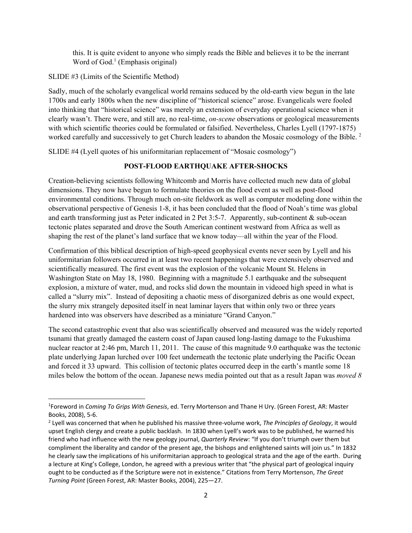this. It is quite evident to anyone who simply reads the Bible and believes it to be the inerrant Word of God.<sup>1</sup> (Emphasis original)

SLIDE #3 (Limits of the Scientific Method)

Sadly, much of the scholarly evangelical world remains seduced by the old-earth view begun in the late 1700s and early 1800s when the new discipline of "historical science" arose. Evangelicals were fooled into thinking that "historical science" was merely an extension of everyday operational science when it clearly wasn't. There were, and still are, no real-time, *on-scene* observations or geological measurements with which scientific theories could be formulated or falsified. Nevertheless, Charles Lyell (1797-1875) worked carefully and successively to get Church leaders to abandon the Mosaic cosmology of the Bible.<sup>2</sup>

SLIDE #4 (Lyell quotes of his uniformitarian replacement of "Mosaic cosmology")

## **POST-FLOOD EARTHQUAKE AFTER-SHOCKS**

Creation-believing scientists following Whitcomb and Morris have collected much new data of global dimensions. They now have begun to formulate theories on the flood event as well as post-flood environmental conditions. Through much on-site fieldwork as well as computer modeling done within the observational perspective of Genesis 1-8, it has been concluded that the flood of Noah's time was global and earth transforming just as Peter indicated in 2 Pet 3:5-7. Apparently, sub-continent & sub-ocean tectonic plates separated and drove the South American continent westward from Africa as well as shaping the rest of the planet's land surface that we know today—all within the year of the Flood.

Confirmation of this biblical description of high-speed geophysical events never seen by Lyell and his uniformitarian followers occurred in at least two recent happenings that were extensively observed and scientifically measured. The first event was the explosion of the volcanic Mount St. Helens in Washington State on May 18, 1980. Beginning with a magnitude 5.1 earthquake and the subsequent explosion, a mixture of water, mud, and rocks slid down the mountain in videoed high speed in what is called a "slurry mix". Instead of depositing a chaotic mess of disorganized debris as one would expect, the slurry mix strangely deposited itself in neat laminar layers that within only two or three years hardened into was observers have described as a miniature "Grand Canyon."

The second catastrophic event that also was scientifically observed and measured was the widely reported tsunami that greatly damaged the eastern coast of Japan caused long-lasting damage to the Fukushima nuclear reactor at 2:46 pm, March 11, 2011. The cause of this magnitude 9.0 earthquake was the tectonic plate underlying Japan lurched over 100 feet underneath the tectonic plate underlying the Pacific Ocean and forced it 33 upward. This collision of tectonic plates occurred deep in the earth's mantle some 18 miles below the bottom of the ocean. Japanese news media pointed out that as a result Japan was *moved 8* 

<sup>1</sup> Foreword in *Coming To Grips With Genesis*, ed. Terry Mortenson and Thane H Ury. (Green Forest, AR: Master Books, 2008), 5‐6.

<sup>2</sup> Lyell was concerned that when he published his massive three‐volume work, *The Principles of Geology*, it would upset English clergy and create a public backlash. In 1830 when Lyell's work was to be published, he warned his friend who had influence with the new geology journal, *Quarterly Review*: "If you don't triumph over them but compliment the liberality and candor of the present age, the bishops and enlightened saints will join us." In 1832 he clearly saw the implications of his uniformitarian approach to geological strata and the age of the earth. During a lecture at King's College, London, he agreed with a previous writer that "the physical part of geological inquiry ought to be conducted as if the Scripture were not in existence." Citations from Terry Mortenson, *The Great Turning Point* (Green Forest, AR: Master Books, 2004), 225—27.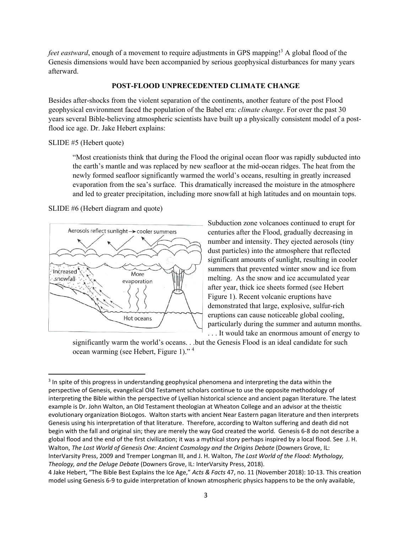feet eastward, enough of a movement to require adjustments in GPS mapping!<sup>3</sup> A global flood of the Genesis dimensions would have been accompanied by serious geophysical disturbances for many years afterward.

#### **POST-FLOOD UNPRECEDENTED CLIMATE CHANGE**

Besides after-shocks from the violent separation of the continents, another feature of the post Flood geophysical environment faced the population of the Babel era: *climate change*. For over the past 30 years several Bible-believing atmospheric scientists have built up a physically consistent model of a postflood ice age. Dr. Jake Hebert explains:

#### SLIDE #5 (Hebert quote)

"Most creationists think that during the Flood the original ocean floor was rapidly subducted into the earth's mantle and was replaced by new seafloor at the mid-ocean ridges. The heat from the newly formed seafloor significantly warmed the world's oceans, resulting in greatly increased evaporation from the sea's surface. This dramatically increased the moisture in the atmosphere and led to greater precipitation, including more snowfall at high latitudes and on mountain tops.

SLIDE #6 (Hebert diagram and quote)



Subduction zone volcanoes continued to erupt for centuries after the Flood, gradually decreasing in number and intensity. They ejected aerosols (tiny dust particles) into the atmosphere that reflected significant amounts of sunlight, resulting in cooler summers that prevented winter snow and ice from melting. As the snow and ice accumulated year after year, thick ice sheets formed (see Hebert Figure 1). Recent volcanic eruptions have demonstrated that large, explosive, sulfur-rich eruptions can cause noticeable global cooling, particularly during the summer and autumn months. . . . It would take an enormous amount of energy to

significantly warm the world's oceans. . .but the Genesis Flood is an ideal candidate for such ocean warming (see Hebert, Figure 1)." 4

<sup>&</sup>lt;sup>3</sup> In spite of this progress in understanding geophysical phenomena and interpreting the data within the perspective of Genesis, evangelical Old Testament scholars continue to use the opposite methodology of interpreting the Bible within the perspective of Lyellian historical science and ancient pagan literature. The latest example is Dr. John Walton, an Old Testament theologian at Wheaton College and an advisor at the theistic evolutionary organization BioLogos. Walton starts with ancient Near Eastern pagan literature and then interprets Genesis using his interpretation of that literature. Therefore, according to Walton suffering and death did not begin with the fall and original sin; they are merely the way God created the world. Genesis 6‐8 do not describe a global flood and the end of the first civilization; it was a mythical story perhaps inspired by a local flood. See J. H. Walton, *The Lost World of Genesis One: Ancient Cosmology and the Origins Debate* (Downers Grove, IL: InterVarsity Press, 2009 and Tremper Longman III, and J. H. Walton, *The Lost World of the Flood: Mythology, Theology, and the Deluge Debate* (Downers Grove, IL: InterVarsity Press, 2018).

<sup>4</sup> Jake Hebert, "The Bible Best Explains the Ice Age," *Acts & Facts* 47, no. 11 (November 2018): 10‐13. This creation model using Genesis 6‐9 to guide interpretation of known atmospheric physics happens to be the only available,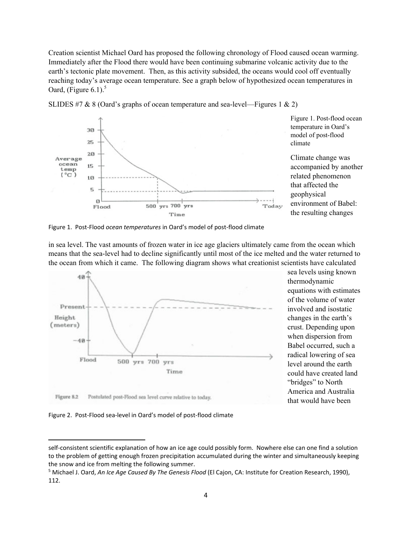Creation scientist Michael Oard has proposed the following chronology of Flood caused ocean warming. Immediately after the Flood there would have been continuing submarine volcanic activity due to the earth's tectonic plate movement. Then, as this activity subsided, the oceans would cool off eventually reaching today's average ocean temperature. See a graph below of hypothesized ocean temperatures in Oard, (Figure  $6.1$ ).<sup>5</sup>



SLIDES #7 & 8 (Oard's graphs of ocean temperature and sea-level—Figures 1 & 2)

Figure 1. Post-flood ocean temperature in Oard's model of post-flood climate

Climate change was accompanied by another related phenomenon that affected the geophysical environment of Babel: the resulting changes

Figure 1. Post‐Flood *ocean temperatures* in Oard's model of post‐flood climate

in sea level. The vast amounts of frozen water in ice age glaciers ultimately came from the ocean which means that the sea-level had to decline significantly until most of the ice melted and the water returned to the ocean from which it came. The following diagram shows what creationist scientists have calculated



sea levels using known thermodynamic equations with estimates of the volume of water involved and isostatic changes in the earth's crust. Depending upon when dispersion from Babel occurred, such a radical lowering of sea level around the earth could have created land "bridges" to North America and Australia that would have been

Figure 2. Post-Flood sea-level in Oard's model of post-flood climate

self-consistent scientific explanation of how an ice age could possibly form. Nowhere else can one find a solution to the problem of getting enough frozen precipitation accumulated during the winter and simultaneously keeping the snow and ice from melting the following summer.

<sup>5</sup> Michael J. Oard, *An Ice Age Caused By The Genesis Flood* (El Cajon, CA: Institute for Creation Research, 1990), 112.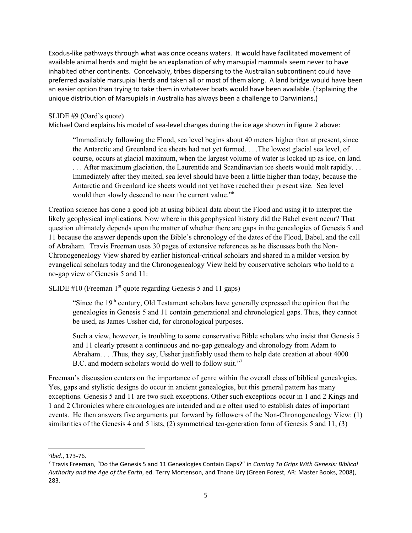Exodus‐like pathways through what was once oceans waters. It would have facilitated movement of available animal herds and might be an explanation of why marsupial mammals seem never to have inhabited other continents. Conceivably, tribes dispersing to the Australian subcontinent could have preferred available marsupial herds and taken all or most of them along. A land bridge would have been an easier option than trying to take them in whatever boats would have been available. (Explaining the unique distribution of Marsupials in Australia has always been a challenge to Darwinians.)

#### SLIDE #9 (Oard's quote)

Michael Oard explains his model of sea‐level changes during the ice age shown in Figure 2 above:

"Immediately following the Flood, sea level begins about 40 meters higher than at present, since the Antarctic and Greenland ice sheets had not yet formed. . . .The lowest glacial sea level, of course, occurs at glacial maximum, when the largest volume of water is locked up as ice, on land. . . . After maximum glaciation, the Laurentide and Scandinavian ice sheets would melt rapidly. . . Immediately after they melted, sea level should have been a little higher than today, because the Antarctic and Greenland ice sheets would not yet have reached their present size. Sea level would then slowly descend to near the current value."<sup>6</sup>

Creation science has done a good job at using biblical data about the Flood and using it to interpret the likely geophysical implications. Now where in this geophysical history did the Babel event occur? That question ultimately depends upon the matter of whether there are gaps in the genealogies of Genesis 5 and 11 because the answer depends upon the Bible's chronology of the dates of the Flood, Babel, and the call of Abraham. Travis Freeman uses 30 pages of extensive references as he discusses both the Non-Chronogenealogy View shared by earlier historical-critical scholars and shared in a milder version by evangelical scholars today and the Chronogenealogy View held by conservative scholars who hold to a no-gap view of Genesis 5 and 11:

SLIDE  $#10$  (Freeman 1<sup>st</sup> quote regarding Genesis 5 and 11 gaps)

"Since the  $19<sup>th</sup>$  century, Old Testament scholars have generally expressed the opinion that the genealogies in Genesis 5 and 11 contain generational and chronological gaps. Thus, they cannot be used, as James Ussher did, for chronological purposes.

Such a view, however, is troubling to some conservative Bible scholars who insist that Genesis 5 and 11 clearly present a continuous and no-gap genealogy and chronology from Adam to Abraham. . . .Thus, they say, Ussher justifiably used them to help date creation at about 4000 B.C. and modern scholars would do well to follow suit."<sup>7</sup>

Freeman's discussion centers on the importance of genre within the overall class of biblical genealogies. Yes, gaps and stylistic designs do occur in ancient genealogies, but this general pattern has many exceptions. Genesis 5 and 11 are two such exceptions. Other such exceptions occur in 1 and 2 Kings and 1 and 2 Chronicles where chronologies are intended and are often used to establish dates of important events. He then answers five arguments put forward by followers of the Non-Chronogenealogy View: (1) similarities of the Genesis 4 and 5 lists, (2) symmetrical ten-generation form of Genesis 5 and 11, (3)

<sup>6</sup> *Ibid*., 173‐76.

<sup>7</sup> Travis Freeman, "Do the Genesis 5 and 11 Genealogies Contain Gaps?" in *Coming To Grips With Genesis: Biblical Authority and the Age of the Earth*, ed. Terry Mortenson, and Thane Ury (Green Forest, AR: Master Books, 2008), 283.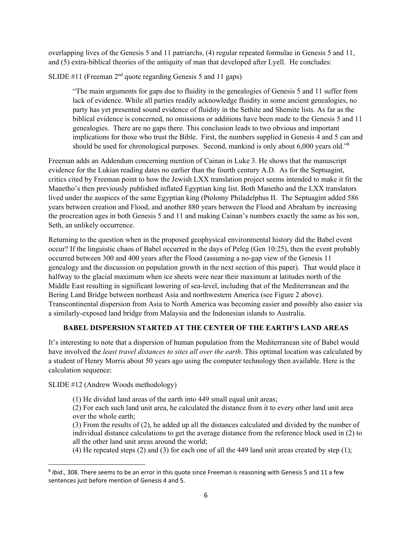overlapping lives of the Genesis 5 and 11 patriarchs, (4) regular repeated formulae in Genesis 5 and 11, and (5) extra-biblical theories of the antiquity of man that developed after Lyell. He concludes:

SLIDE #11 (Freeman  $2<sup>nd</sup>$  quote regarding Genesis 5 and 11 gaps)

"The main arguments for gaps due to fluidity in the genealogies of Genesis 5 and 11 suffer from lack of evidence. While all parties readily acknowledge fluidity in some ancient genealogies, no party has yet presented sound evidence of fluidity in the Sethite and Shemite lists. As far as the biblical evidence is concerned, no omissions or additions have been made to the Genesis 5 and 11 genealogies. There are no gaps there. This conclusion leads to two obvious and important implications for those who trust the Bible. First, the numbers supplied in Genesis 4 and 5 can and should be used for chronological purposes. Second, mankind is only about 6,000 years old."<sup>8</sup>

Freeman adds an Addendum concerning mention of Cainan in Luke 3. He shows that the manuscript evidence for the Lukian reading dates no earlier than the fourth century A.D. As for the Septuagint, critics cited by Freeman point to how the Jewish LXX translation project seems intended to make it fit the Manetho's then previously published inflated Egyptian king list. Both Manetho and the LXX translators lived under the auspices of the same Egyptian king (Ptolomy Philadelphus II. The Septuagint added 586 years between creation and Flood, and another 880 years between the Flood and Abraham by increasing the procreation ages in both Genesis 5 and 11 and making Cainan's numbers exactly the same as his son, Seth, an unlikely occurrence.

Returning to the question when in the proposed geophysical environmental history did the Babel event occur? If the linguistic chaos of Babel occurred in the days of Peleg (Gen 10:25), then the event probably occurred between 300 and 400 years after the Flood (assuming a no-gap view of the Genesis 11 genealogy and the discussion on population growth in the next section of this paper). That would place it halfway to the glacial maximum when ice sheets were near their maximum at latitudes north of the Middle East resulting in significant lowering of sea-level, including that of the Mediterranean and the Bering Land Bridge between northeast Asia and northwestern America (see Figure 2 above). Transcontinental dispersion from Asia to North America was becoming easier and possibly also easier via a similarly-exposed land bridge from Malaysia and the Indonesian islands to Australia.

## **BABEL DISPERSION STARTED AT THE CENTER OF THE EARTH'S LAND AREAS**

It's interesting to note that a dispersion of human population from the Mediterranean site of Babel would have involved the *least travel distances to sites all over the earth*. This optimal location was calculated by a student of Henry Morris about 50 years ago using the computer technology then available. Here is the calculation sequence:

SLIDE #12 (Andrew Woods methodology)

(1) He divided land areas of the earth into 449 small equal unit areas;

(2) For each such land unit area, he calculated the distance from it to every other land unit area over the whole earth;

(3) From the results of (2), he added up all the distances calculated and divided by the number of individual distance calculations to get the average distance from the reference block used in (2) to all the other land unit areas around the world;

(4) He repeated steps (2) and (3) for each one of all the 449 land unit areas created by step (1);

<sup>8</sup> *Ibid*., 308. There seems to be an error in this quote since Freeman is reasoning with Genesis 5 and 11 a few sentences just before mention of Genesis 4 and 5.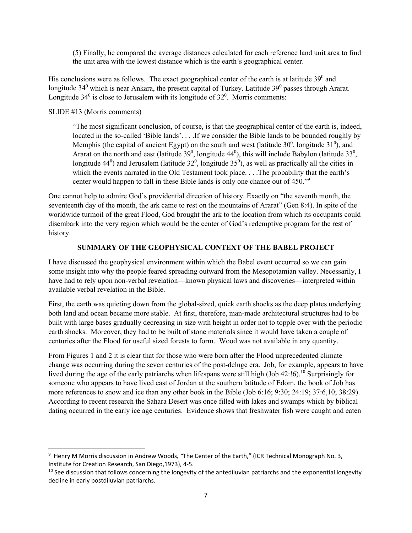(5) Finally, he compared the average distances calculated for each reference land unit area to find the unit area with the lowest distance which is the earth's geographical center.

His conclusions were as follows. The exact geographical center of the earth is at latitude  $39^{\circ}$  and longitude 34<sup>0</sup> which is near Ankara, the present capital of Turkey. Latitude 39<sup>0</sup> passes through Ararat. Longitude  $34^0$  is close to Jerusalem with its longitude of  $32^0$ . Morris comments:

### SLIDE #13 (Morris comments)

"The most significant conclusion, of course, is that the geographical center of the earth is, indeed, located in the so-called 'Bible lands'. . . .If we consider the Bible lands to be bounded roughly by Memphis (the capital of ancient Egypt) on the south and west (latitude  $30^0$ , longitude  $31^0$ ), and Ararat on the north and east (latitude  $39^0$ , longitude  $44^0$ ), this will include Babylon (latitude  $33^0$ , longitude 44<sup>0</sup>) and Jerusalem (latitude 32<sup>0</sup>, longitude 35<sup>0</sup>), as well as practically all the cities in which the events narrated in the Old Testament took place. . . .The probability that the earth's center would happen to fall in these Bible lands is only one chance out of  $450.^{\prime\prime}$ <sup>9</sup>

One cannot help to admire God's providential direction of history. Exactly on "the seventh month, the seventeenth day of the month, the ark came to rest on the mountains of Ararat" (Gen 8:4). In spite of the worldwide turmoil of the great Flood, God brought the ark to the location from which its occupants could disembark into the very region which would be the center of God's redemptive program for the rest of history.

### **SUMMARY OF THE GEOPHYSICAL CONTEXT OF THE BABEL PROJECT**

I have discussed the geophysical environment within which the Babel event occurred so we can gain some insight into why the people feared spreading outward from the Mesopotamian valley. Necessarily, I have had to rely upon non-verbal revelation—known physical laws and discoveries—interpreted within available verbal revelation in the Bible.

First, the earth was quieting down from the global-sized, quick earth shocks as the deep plates underlying both land and ocean became more stable. At first, therefore, man-made architectural structures had to be built with large bases gradually decreasing in size with height in order not to topple over with the periodic earth shocks. Moreover, they had to be built of stone materials since it would have taken a couple of centuries after the Flood for useful sized forests to form. Wood was not available in any quantity.

From Figures 1 and 2 it is clear that for those who were born after the Flood unprecedented climate change was occurring during the seven centuries of the post-deluge era. Job, for example, appears to have lived during the age of the early patriarchs when lifespans were still high (Job 42:16).<sup>10</sup> Surprisingly for someone who appears to have lived east of Jordan at the southern latitude of Edom, the book of Job has more references to snow and ice than any other book in the Bible (Job 6:16; 9:30; 24:19; 37:6,10; 38:29). According to recent research the Sahara Desert was once filled with lakes and swamps which by biblical dating occurred in the early ice age centuries. Evidence shows that freshwater fish were caught and eaten

<sup>9</sup> Henry M Morris discussion in Andrew Woods*, "*The Center of the Earth," (ICR Technical Monograph No. 3, Institute for Creation Research, San Diego,1973), 4‐5.

 $10$  See discussion that follows concerning the longevity of the antediluvian patriarchs and the exponential longevity decline in early postdiluvian patriarchs.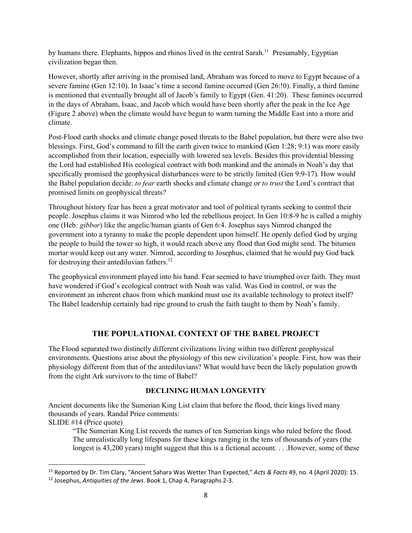by humans there. Elephants, hippos and rhinos lived in the central Sarah.<sup>11</sup> Presumably, Egyptian civilization began then.

However, shortly after arriving in the promised land, Abraham was forced to move to Egypt because of a severe famine (Gen 12:10). In Isaac's time a second famine occurred (Gen 26:!0). Finally, a third famine is mentioned that eventually brought all of Jacob's family to Egypt (Gen. 41:20). These famines occurred in the days of Abraham, Isaac, and Jacob which would have been shortly after the peak in the Ice Age (Figure 2 above) when the climate would have begun to warm turning the Middle East into a more arid climate.

Post-Flood earth shocks and climate change posed threats to the Babel population, but there were also two blessings. First, God's command to fill the earth given twice to mankind (Gen 1:28; 9:1) was more easily accomplished from their location, especially with lowered sea levels. Besides this providential blessing the Lord had established His ecological contract with both mankind and the animals in Noah's day that specifically promised the geophysical disturbances were to be strictly limited (Gen 9:9-17). How would the Babel population decide: *to fear* earth shocks and climate change or *to trust* the Lord's contract that promised limits on geophysical threats?

Throughout history fear has been a great motivator and tool of political tyrants seeking to control their people. Josephus claims it was Nimrod who led the rebellious project. In Gen 10:8-9 he is called a mighty one (Heb*: gibbor*) like the angelic/human giants of Gen 6:4. Josephus says Nimrod changed the government into a tyranny to make the people dependent upon himself. He openly defied God by urging the people to build the tower so high, it would reach above any flood that God might send. The bitumen mortar would keep out any water. Nimrod, according to Josephus, claimed that he would pay God back for destroying their antediluvian fathers.<sup>12</sup>

The geophysical environment played into his hand. Fear seemed to have triumphed over faith. They must have wondered if God's ecological contract with Noah was valid. Was God in control, or was the environment an inherent chaos from which mankind must use its available technology to protect itself? The Babel leadership certainly had ripe ground to crush the faith taught to them by Noah's family.

## **THE POPULATIONAL CONTEXT OF THE BABEL PROJECT**

The Flood separated two distinctly different civilizations living within two different geophysical environments. Questions arise about the physiology of this new civilization's people. First, how was their physiology different from that of the antediluvians? What would have been the likely population growth from the eight Ark survivors to the time of Babel?

#### **DECLINING HUMAN LONGEVITY**

Ancient documents like the Sumerian King List claim that before the flood, their kings lived many thousands of years. Randal Price comments: SLIDE #14 (Price quote)

"The Sumerian King List records the names of ten Sumerian kings who ruled before the flood. The unrealistically long lifespans for these kings ranging in the tens of thousands of years (the longest is 43,200 years) might suggest that this is a fictional account. . . .However, some of these

<sup>11</sup> Reported by Dr. Tim Clary, "Ancient Sahara Was Wetter Than Expected," *Acts & Facts* 49, no. 4 (April 2020): 15. <sup>12</sup> Josephus, *Antiquities of the Jews*. Book 1, Chap 4, Paragraphs 2‐3.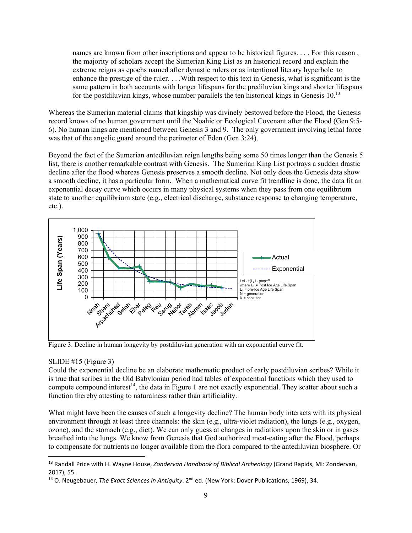names are known from other inscriptions and appear to be historical figures. . . . For this reason , the majority of scholars accept the Sumerian King List as an historical record and explain the extreme reigns as epochs named after dynastic rulers or as intentional literary hyperbole to enhance the prestige of the ruler. . . .With respect to this text in Genesis, what is significant is the same pattern in both accounts with longer lifespans for the prediluvian kings and shorter lifespans for the postdiluvian kings, whose number parallels the ten historical kings in Genesis  $10^{13}$ 

Whereas the Sumerian material claims that kingship was divinely bestowed before the Flood, the Genesis record knows of no human government until the Noahic or Ecological Covenant after the Flood (Gen 9:5- 6). No human kings are mentioned between Genesis 3 and 9. The only government involving lethal force was that of the angelic guard around the perimeter of Eden (Gen 3:24).

Beyond the fact of the Sumerian antediluvian reign lengths being some 50 times longer than the Genesis 5 list, there is another remarkable contrast with Genesis. The Sumerian King List portrays a sudden drastic decline after the flood whereas Genesis preserves a smooth decline. Not only does the Genesis data show a smooth decline, it has a particular form. When a mathematical curve fit trendline is done, the data fit an exponential decay curve which occurs in many physical systems when they pass from one equilibrium state to another equilibrium state (e.g., electrical discharge, substance response to changing temperature, etc.).



Figure 3. Decline in human longevity by postdiluvian generation with an exponential curve fit.

#### SLIDE #15 (Figure 3)

Could the exponential decline be an elaborate mathematic product of early postdiluvian scribes? While it is true that scribes in the Old Babylonian period had tables of exponential functions which they used to compute compound interest<sup>14</sup>, the data in Figure 1 are not exactly exponential. They scatter about such a function thereby attesting to naturalness rather than artificiality.

What might have been the causes of such a longevity decline? The human body interacts with its physical environment through at least three channels: the skin (e.g., ultra-violet radiation), the lungs (e.g., oxygen, ozone), and the stomach (e.g., diet). We can only guess at changes in radiations upon the skin or in gases breathed into the lungs. We know from Genesis that God authorized meat-eating after the Flood, perhaps to compensate for nutrients no longer available from the flora compared to the antediluvian biosphere. Or

<sup>13</sup> Randall Price with H. Wayne House, *Zondervan Handbook of Biblical Archeology* (Grand Rapids, MI: Zondervan, 2017), 55.

<sup>14</sup> O. Neugebauer, *The Exact Sciences in Antiquity*. 2nd ed. (New York: Dover Publications, 1969), 34.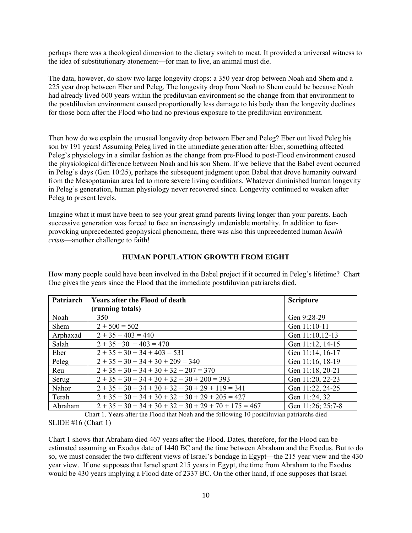perhaps there was a theological dimension to the dietary switch to meat. It provided a universal witness to the idea of substitutionary atonement—for man to live, an animal must die.

The data, however, do show two large longevity drops: a 350 year drop between Noah and Shem and a 225 year drop between Eber and Peleg. The longevity drop from Noah to Shem could be because Noah had already lived 600 years within the prediluvian environment so the change from that environment to the postdiluvian environment caused proportionally less damage to his body than the longevity declines for those born after the Flood who had no previous exposure to the prediluvian environment.

Then how do we explain the unusual longevity drop between Eber and Peleg? Eber out lived Peleg his son by 191 years! Assuming Peleg lived in the immediate generation after Eber, something affected Peleg's physiology in a similar fashion as the change from pre-Flood to post-Flood environment caused the physiological difference between Noah and his son Shem. If we believe that the Babel event occurred in Peleg's days (Gen 10:25), perhaps the subsequent judgment upon Babel that drove humanity outward from the Mesopotamian area led to more severe living conditions. Whatever diminished human longevity in Peleg's generation, human physiology never recovered since. Longevity continued to weaken after Peleg to present levels.

Imagine what it must have been to see your great grand parents living longer than your parents. Each successive generation was forced to face an increasingly undeniable mortality. In addition to fearprovoking unprecedented geophysical phenomena, there was also this unprecedented human *health crisis*—another challenge to faith!

| Patriarch | <b>Years after the Flood of death</b> | <b>Scripture</b>  |
|-----------|---------------------------------------|-------------------|
|           | (running totals)                      |                   |
| Noah      | 350                                   | Gen 9:28-29       |
| Shem      | $2 + 500 = 502$                       | Gen 11:10-11      |
| Arphaxad  | $2 + 35 + 403 = 440$                  | Gen 11:10,12-13   |
| Salah     | $2 + 35 + 30 + 403 = 470$             | Gen 11:12, 14-15  |
| Eber      | $2 + 35 + 30 + 34 + 403 = 531$        | Gen 11:14, 16-17  |
| Peleg     | $2+35+30+34+30+209=340$               | Gen 11:16, 18-19  |
| Reu       | $2+35+30+34+30+32+207=370$            | Gen 11:18, 20-21  |
| Serug     | $2+35+30+34+30+32+30+200=393$         | Gen 11:20, 22-23  |
| Nahor     | $2+35+30+34+30+32+30+29+119=341$      | Gen 11:22, 24-25  |
| Terah     | $2+35+30+34+30+32+30+29+205=427$      | Gen 11:24, 32     |
| Abraham   | $2+35+30+34+30+32+30+29+70+175=467$   | Gen 11:26; 25:7-8 |

#### **HUMAN POPULATION GROWTH FROM EIGHT**

How many people could have been involved in the Babel project if it occurred in Peleg's lifetime? Chart One gives the years since the Flood that the immediate postdiluvian patriarchs died.

Chart 1. Years after the Flood that Noah and the following 10 postdiluvian patriarchs died SLIDE #16 (Chart 1)

Chart 1 shows that Abraham died 467 years after the Flood. Dates, therefore, for the Flood can be estimated assuming an Exodus date of 1440 BC and the time between Abraham and the Exodus. But to do so, we must consider the two different views of Israel's bondage in Egypt—the 215 year view and the 430 year view. If one supposes that Israel spent 215 years in Egypt, the time from Abraham to the Exodus would be 430 years implying a Flood date of 2337 BC. On the other hand, if one supposes that Israel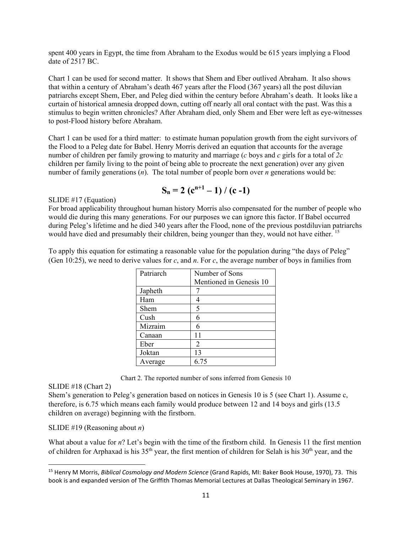spent 400 years in Egypt, the time from Abraham to the Exodus would be 615 years implying a Flood date of 2517 BC.

Chart 1 can be used for second matter. It shows that Shem and Eber outlived Abraham. It also shows that within a century of Abraham's death 467 years after the Flood (367 years) all the post diluvian patriarchs except Shem, Eber, and Peleg died within the century before Abraham's death. It looks like a curtain of historical amnesia dropped down, cutting off nearly all oral contact with the past. Was this a stimulus to begin written chronicles? After Abraham died, only Shem and Eber were left as eye-witnesses to post-Flood history before Abraham.

Chart 1 can be used for a third matter: to estimate human population growth from the eight survivors of the Flood to a Peleg date for Babel. Henry Morris derived an equation that accounts for the average number of children per family growing to maturity and marriage (*c* boys and *c* girls for a total of *2c* children per family living to the point of being able to procreate the next generation) over any given number of family generations (*n*). The total number of people born over *n* generations would be:

$$
S_n = 2 (c^{n+1} - 1) / (c - 1)
$$

SLIDE #17 (Equation)

For broad applicability throughout human history Morris also compensated for the number of people who would die during this many generations. For our purposes we can ignore this factor. If Babel occurred during Peleg's lifetime and he died 340 years after the Flood, none of the previous postdiluvian patriarchs would have died and presumably their children, being younger than they, would not have either.<sup>15</sup>

To apply this equation for estimating a reasonable value for the population during "the days of Peleg" (Gen 10:25), we need to derive values for *c*, and *n*. For *c*, the average number of boys in families from

| Patriarch | Number of Sons          |  |
|-----------|-------------------------|--|
|           | Mentioned in Genesis 10 |  |
| Japheth   |                         |  |
| Ham       |                         |  |
| Shem      | 5                       |  |
| Cush      | 6                       |  |
| Mizraim   |                         |  |
| Canaan    | 11                      |  |
| Eber      | $\overline{2}$          |  |
| Joktan    | 13                      |  |
| Average   | 6.75                    |  |

Chart 2. The reported number of sons inferred from Genesis 10

### SLIDE #18 (Chart 2)

Shem's generation to Peleg's generation based on notices in Genesis 10 is 5 (see Chart 1). Assume c, therefore, is 6.75 which means each family would produce between 12 and 14 boys and girls (13.5 children on average) beginning with the firstborn.

#### SLIDE #19 (Reasoning about *n*)

What about a value for *n*? Let's begin with the time of the firstborn child. In Genesis 11 the first mention of children for Arphaxad is his 35<sup>th</sup> year, the first mention of children for Selah is his 30<sup>th</sup> year, and the

<sup>15</sup> Henry M Morris, *Biblical Cosmology and Modern Science* (Grand Rapids, MI: Baker Book House, 1970), 73. This book is and expanded version of The Griffith Thomas Memorial Lectures at Dallas Theological Seminary in 1967.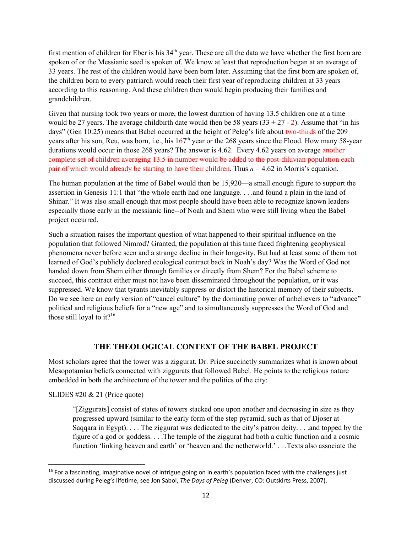first mention of children for Eber is his 34<sup>th</sup> year. These are all the data we have whether the first born are spoken of or the Messianic seed is spoken of. We know at least that reproduction began at an average of 33 years. The rest of the children would have been born later. Assuming that the first born are spoken of, the children born to every patriarch would reach their first year of reproducing children at 33 years according to this reasoning. And these children then would begin producing their families and grandchildren.

Given that nursing took two years or more, the lowest duration of having 13.5 children one at a time would be 27 years. The average childbirth date would then be 58 years  $(33 + 27 - 2)$ . Assume that "in his days" (Gen 10:25) means that Babel occurred at the height of Peleg's life about two-thirds of the 209 years after his son, Reu, was born, i.e., his  $167<sup>th</sup>$  year or the 268 years since the Flood. How many 58-year durations would occur in those 268 years? The answer is 4.62. Every 4.62 years on average another complete set of children averaging 13.5 in number would be added to the post-diluvian population each pair of which would already be starting to have their children. Thus *n* = 4.62 in Morris's equation.

The human population at the time of Babel would then be 15,920—a small enough figure to support the assertion in Genesis 11:1 that "the whole earth had one language. . . .and found a plain in the land of Shinar." It was also small enough that most people should have been able to recognize known leaders especially those early in the messianic line--of Noah and Shem who were still living when the Babel project occurred.

Such a situation raises the important question of what happened to their spiritual influence on the population that followed Nimrod? Granted, the population at this time faced frightening geophysical phenomena never before seen and a strange decline in their longevity. But had at least some of them not learned of God's publicly declared ecological contract back in Noah's day? Was the Word of God not handed down from Shem either through families or directly from Shem? For the Babel scheme to succeed, this contract either must not have been disseminated throughout the population, or it was suppressed. We know that tyrants inevitably suppress or distort the historical memory of their subjects. Do we see here an early version of "cancel culture" by the dominating power of unbelievers to "advance" political and religious beliefs for a "new age" and to simultaneously suppresses the Word of God and those still loyal to it?<sup>16</sup>

## **THE THEOLOGICAL CONTEXT OF THE BABEL PROJECT**

Most scholars agree that the tower was a ziggurat. Dr. Price succinctly summarizes what is known about Mesopotamian beliefs connected with ziggurats that followed Babel. He points to the religious nature embedded in both the architecture of the tower and the politics of the city:

SLIDES #20 & 21 (Price quote)

"[Ziggurats] consist of states of towers stacked one upon another and decreasing in size as they progressed upward (similar to the early form of the step pyramid, such as that of Djoser at Saqqara in Egypt). . . . The ziggurat was dedicated to the city's patron deity. . . .and topped by the figure of a god or goddess. . . .The temple of the ziggurat had both a cultic function and a cosmic function 'linking heaven and earth' or 'heaven and the netherworld.' . . .Texts also associate the

 $16$  For a fascinating, imaginative novel of intrigue going on in earth's population faced with the challenges just discussed during Peleg's lifetime, see Jon Sabol, *The Days of Peleg* (Denver, CO: Outskirts Press, 2007).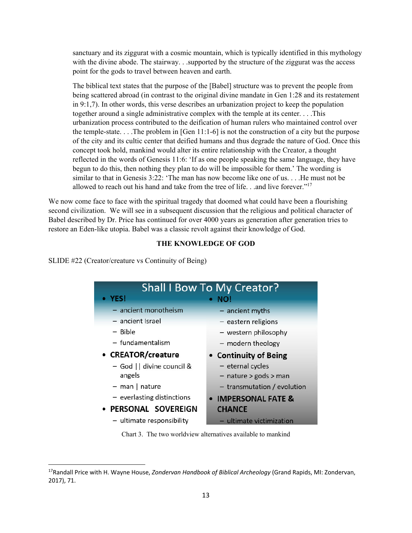sanctuary and its ziggurat with a cosmic mountain, which is typically identified in this mythology with the divine abode. The stairway. . .supported by the structure of the ziggurat was the access point for the gods to travel between heaven and earth.

The biblical text states that the purpose of the [Babel] structure was to prevent the people from being scattered abroad (in contrast to the original divine mandate in Gen 1:28 and its restatement in 9:1,7). In other words, this verse describes an urbanization project to keep the population together around a single administrative complex with the temple at its center. . . .This urbanization process contributed to the deification of human rulers who maintained control over the temple-state. . . .The problem in [Gen 11:1-6] is not the construction of a city but the purpose of the city and its cultic center that deified humans and thus degrade the nature of God. Once this concept took hold, mankind would alter its entire relationship with the Creator, a thought reflected in the words of Genesis 11:6: 'If as one people speaking the same language, they have begun to do this, then nothing they plan to do will be impossible for them.' The wording is similar to that in Genesis 3:22: 'The man has now become like one of us. . . .He must not be allowed to reach out his hand and take from the tree of life. . .and live forever."<sup>17</sup>

We now come face to face with the spiritual tragedy that doomed what could have been a flourishing second civilization. We will see in a subsequent discussion that the religious and political character of Babel described by Dr. Price has continued for over 4000 years as generation after generation tries to restore an Eden-like utopia. Babel was a classic revolt against their knowledge of God.

#### **THE KNOWLEDGE OF GOD**

SLIDE #22 (Creator/creature vs Continuity of Being)

| <b>Shall I Bow To My Creator?</b> |                               |  |
|-----------------------------------|-------------------------------|--|
| • YES!                            | NO!                           |  |
| $-$ ancient monotheism            | $-$ ancient myths             |  |
| - ancient Israel                  | - eastern religions           |  |
| - Bible                           | - western philosophy          |  |
| - fundamentalism                  | - modern theology             |  |
| • CREATOR/creature                | • Continuity of Being         |  |
| - God    divine council &         | - eternal cycles              |  |
| angels                            | $-$ nature > gods > man       |  |
| $-$ man   nature                  | $-$ transmutation / evolution |  |
| $-$ everlasting distinctions      | • IMPERSONAL FATE &           |  |
| · PERSONAL SOVEREIGN              | <b>CHANCE</b>                 |  |
| - ultimate responsibility         | - ultimate victimization      |  |

Chart 3. The two worldview alternatives available to mankind

<sup>17</sup>Randall Price with H. Wayne House, *Zondervan Handbook of Biblical Archeology* (Grand Rapids, MI: Zondervan, 2017), 71.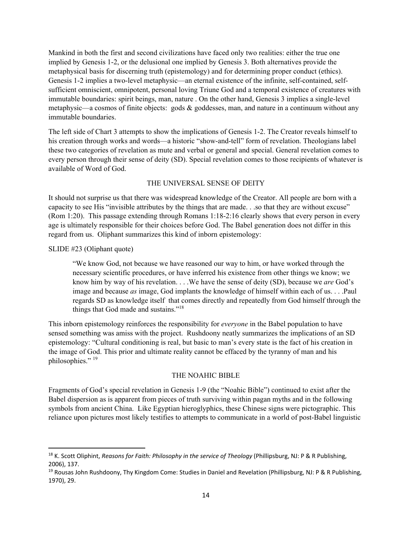Mankind in both the first and second civilizations have faced only two realities: either the true one implied by Genesis 1-2, or the delusional one implied by Genesis 3. Both alternatives provide the metaphysical basis for discerning truth (epistemology) and for determining proper conduct (ethics). Genesis 1-2 implies a two-level metaphysic—an eternal existence of the infinite, self-contained, selfsufficient omniscient, omnipotent, personal loving Triune God and a temporal existence of creatures with immutable boundaries: spirit beings, man, nature . On the other hand, Genesis 3 implies a single-level metaphysic—a cosmos of finite objects: gods & goddesses, man, and nature in a continuum without any immutable boundaries.

The left side of Chart 3 attempts to show the implications of Genesis 1-2. The Creator reveals himself to his creation through works and words—a historic "show-and-tell" form of revelation. Theologians label these two categories of revelation as mute and verbal or general and special. General revelation comes to every person through their sense of deity (SD). Special revelation comes to those recipients of whatever is available of Word of God.

### THE UNIVERSAL SENSE OF DEITY

It should not surprise us that there was widespread knowledge of the Creator. All people are born with a capacity to see His "invisible attributes by the things that are made. . .so that they are without excuse" (Rom 1:20). This passage extending through Romans 1:18-2:16 clearly shows that every person in every age is ultimately responsible for their choices before God. The Babel generation does not differ in this regard from us. Oliphant summarizes this kind of inborn epistemology:

#### SLIDE #23 (Oliphant quote)

"We know God, not because we have reasoned our way to him, or have worked through the necessary scientific procedures, or have inferred his existence from other things we know; we know him by way of his revelation. . . .We have the sense of deity (SD), because we *are* God's image and because *as* image, God implants the knowledge of himself within each of us. . . .Paul regards SD as knowledge itself that comes directly and repeatedly from God himself through the things that God made and sustains."18

This inborn epistemology reinforces the responsibility for *everyone* in the Babel population to have sensed something was amiss with the project. Rushdoony neatly summarizes the implications of an SD epistemology: "Cultural conditioning is real, but basic to man's every state is the fact of his creation in the image of God. This prior and ultimate reality cannot be effaced by the tyranny of man and his philosophies." <sup>19</sup>

#### THE NOAHIC BIBLE

Fragments of God's special revelation in Genesis 1-9 (the "Noahic Bible") continued to exist after the Babel dispersion as is apparent from pieces of truth surviving within pagan myths and in the following symbols from ancient China. Like Egyptian hieroglyphics, these Chinese signs were pictographic. This reliance upon pictures most likely testifies to attempts to communicate in a world of post-Babel linguistic

<sup>18</sup> K. Scott Oliphint, *Reasons for Faith: Philosophy in the service of Theology* (Phillipsburg, NJ: P & R Publishing, 2006), 137.

<sup>&</sup>lt;sup>19</sup> Rousas John Rushdoony, Thy Kingdom Come: Studies in Daniel and Revelation (Phillipsburg, NJ: P & R Publishing, 1970), 29.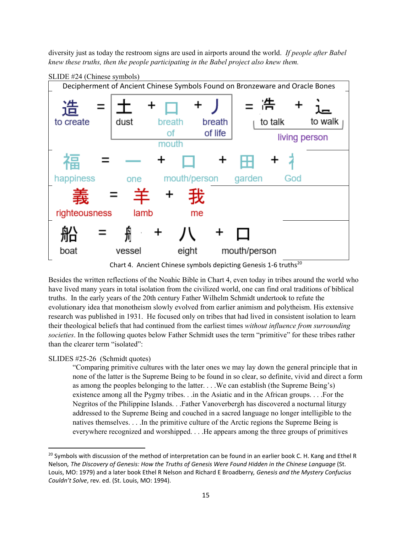diversity just as today the restroom signs are used in airports around the world. *If people after Babel knew these truths, then the people participating in the Babel project also knew them.*



Chart 4. Ancient Chinese symbols depicting Genesis 1-6 truths<sup>20</sup>

Besides the written reflections of the Noahic Bible in Chart 4, even today in tribes around the world who have lived many years in total isolation from the civilized world, one can find oral traditions of biblical truths. In the early years of the 20th century Father Wilhelm Schmidt undertook to refute the evolutionary idea that monotheism slowly evolved from earlier animism and polytheism. His extensive research was published in 1931. He focused only on tribes that had lived in consistent isolation to learn their theological beliefs that had continued from the earliest times *without influence from surrounding societies*. In the following quotes below Father Schmidt uses the term "primitive" for these tribes rather than the clearer term "isolated":

#### SLIDES #25-26 (Schmidt quotes)

"Comparing primitive cultures with the later ones we may lay down the general principle that in none of the latter is the Supreme Being to be found in so clear, so definite, vivid and direct a form as among the peoples belonging to the latter. . . .We can establish (the Supreme Being's) existence among all the Pygmy tribes. . .in the Asiatic and in the African groups. . . .For the Negritos of the Philippine Islands. . .Father Vanoverbergh has discovered a nocturnal liturgy addressed to the Supreme Being and couched in a sacred language no longer intelligible to the natives themselves. . . .In the primitive culture of the Arctic regions the Supreme Being is everywhere recognized and worshipped. . . .He appears among the three groups of primitives

 $^{20}$  Symbols with discussion of the method of interpretation can be found in an earlier book C. H. Kang and Ethel R Nelson, The Discovery of Genesis: How the Truths of Genesis Were Found Hidden in the Chinese Language (St. Louis, MO: 1979) and a later book Ethel R Nelson and Richard E Broadberry*, Genesis and the Mystery Confucius Couldn't Solve*, rev. ed. (St. Louis, MO: 1994).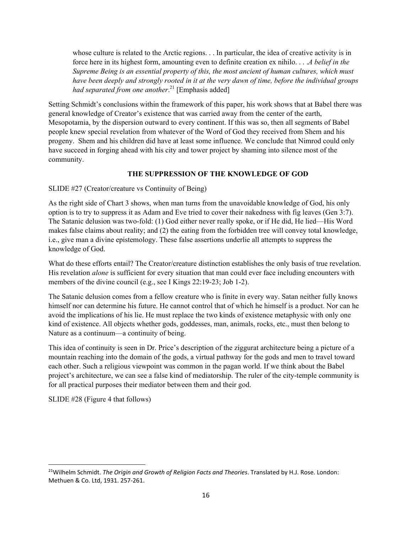whose culture is related to the Arctic regions. . . In particular, the idea of creative activity is in force here in its highest form, amounting even to definite creation ex nihilo. . . .*A belief in the Supreme Being is an essential property of this, the most ancient of human cultures, which must have been deeply and strongly rooted in it at the very dawn of time, before the individual groups had separated from one another*. 21 [Emphasis added]

Setting Schmidt's conclusions within the framework of this paper, his work shows that at Babel there was general knowledge of Creator's existence that was carried away from the center of the earth, Mesopotamia, by the dispersion outward to every continent. If this was so, then all segments of Babel people knew special revelation from whatever of the Word of God they received from Shem and his progeny. Shem and his children did have at least some influence. We conclude that Nimrod could only have succeed in forging ahead with his city and tower project by shaming into silence most of the community.

### **THE SUPPRESSION OF THE KNOWLEDGE OF GOD**

SLIDE #27 (Creator/creature vs Continuity of Being)

As the right side of Chart 3 shows, when man turns from the unavoidable knowledge of God, his only option is to try to suppress it as Adam and Eve tried to cover their nakedness with fig leaves (Gen 3:7). The Satanic delusion was two-fold: (1) God either never really spoke, or if He did, He lied—His Word makes false claims about reality; and (2) the eating from the forbidden tree will convey total knowledge, i.e., give man a divine epistemology. These false assertions underlie all attempts to suppress the knowledge of God.

What do these efforts entail? The Creator/creature distinction establishes the only basis of true revelation. His revelation *alone* is sufficient for every situation that man could ever face including encounters with members of the divine council (e.g., see I Kings 22:19-23; Job 1-2).

The Satanic delusion comes from a fellow creature who is finite in every way. Satan neither fully knows himself nor can determine his future. He cannot control that of which he himself is a product. Nor can he avoid the implications of his lie. He must replace the two kinds of existence metaphysic with only one kind of existence. All objects whether gods, goddesses, man, animals, rocks, etc., must then belong to Nature as a continuum—a continuity of being.

This idea of continuity is seen in Dr. Price's description of the ziggurat architecture being a picture of a mountain reaching into the domain of the gods, a virtual pathway for the gods and men to travel toward each other. Such a religious viewpoint was common in the pagan world. If we think about the Babel project's architecture, we can see a false kind of mediatorship. The ruler of the city-temple community is for all practical purposes their mediator between them and their god.

SLIDE #28 (Figure 4 that follows)

<sup>21</sup>Wilhelm Schmidt. *The Origin and Growth of Religion Facts and Theories*. Translated by H.J. Rose. London: Methuen & Co. Ltd, 1931. 257‐261.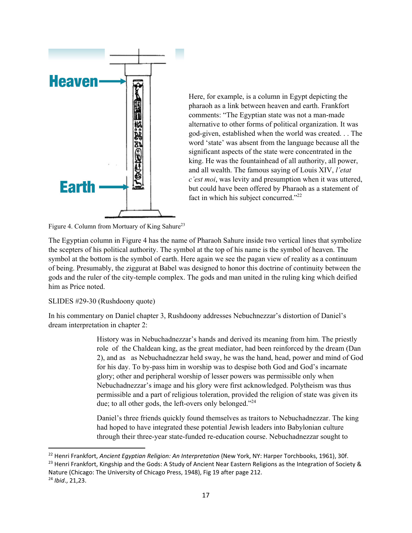

Here, for example, is a column in Egypt depicting the pharaoh as a link between heaven and earth. Frankfort comments: "The Egyptian state was not a man-made alternative to other forms of political organization. It was god-given, established when the world was created. . . The word 'state' was absent from the language because all the significant aspects of the state were concentrated in the king. He was the fountainhead of all authority, all power, and all wealth. The famous saying of Louis XIV, *l'etat c'est moi*, was levity and presumption when it was uttered, but could have been offered by Pharaoh as a statement of fact in which his subject concurred."<sup>22</sup>

Figure 4. Column from Mortuary of King Sahure<sup>23</sup>

The Egyptian column in Figure 4 has the name of Pharaoh Sahure inside two vertical lines that symbolize the scepters of his political authority. The symbol at the top of his name is the symbol of heaven. The symbol at the bottom is the symbol of earth. Here again we see the pagan view of reality as a continuum of being. Presumably, the ziggurat at Babel was designed to honor this doctrine of continuity between the gods and the ruler of the city-temple complex. The gods and man united in the ruling king which deified him as Price noted.

### SLIDES #29-30 (Rushdoony quote)

In his commentary on Daniel chapter 3, Rushdoony addresses Nebuchnezzar's distortion of Daniel's dream interpretation in chapter 2:

> History was in Nebuchadnezzar's hands and derived its meaning from him. The priestly role of the Chaldean king, as the great mediator, had been reinforced by the dream (Dan 2), and as as Nebuchadnezzar held sway, he was the hand, head, power and mind of God for his day. To by-pass him in worship was to despise both God and God's incarnate glory; other and peripheral worship of lesser powers was permissible only when Nebuchadnezzar's image and his glory were first acknowledged. Polytheism was thus permissible and a part of religious toleration, provided the religion of state was given its due; to all other gods, the left-overs only belonged."<sup>24</sup>

Daniel's three friends quickly found themselves as traitors to Nebuchadnezzar. The king had hoped to have integrated these potential Jewish leaders into Babylonian culture through their three-year state-funded re-education course. Nebuchadnezzar sought to

<sup>22</sup> Henri Frankfort, *Ancient Egyptian Religion: An Interpretation* (New York, NY: Harper Torchbooks, 1961), 30f. <sup>23</sup> Henri Frankfort, Kingship and the Gods: A Study of Ancient Near Eastern Religions as the Integration of Society & Nature (Chicago: The University of Chicago Press, 1948), Fig 19 after page 212. <sup>24</sup> *Ibid*., 21,23.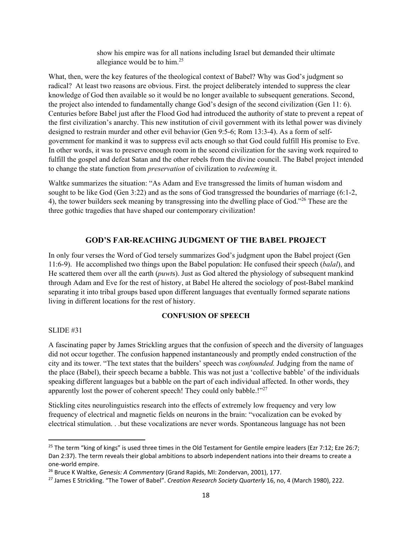show his empire was for all nations including Israel but demanded their ultimate allegiance would be to him.25

What, then, were the key features of the theological context of Babel? Why was God's judgment so radical? At least two reasons are obvious. First. the project deliberately intended to suppress the clear knowledge of God then available so it would be no longer available to subsequent generations. Second, the project also intended to fundamentally change God's design of the second civilization (Gen 11: 6). Centuries before Babel just after the Flood God had introduced the authority of state to prevent a repeat of the first civilization's anarchy. This new institution of civil government with its lethal power was divinely designed to restrain murder and other evil behavior (Gen 9:5-6; Rom 13:3-4). As a form of selfgovernment for mankind it was to suppress evil acts enough so that God could fulfill His promise to Eve. In other words, it was to preserve enough room in the second civilization for the saving work required to fulfill the gospel and defeat Satan and the other rebels from the divine council. The Babel project intended to change the state function from *preservation* of civilization to *redeeming* it.

Waltke summarizes the situation: "As Adam and Eve transgressed the limits of human wisdom and sought to be like God (Gen 3:22) and as the sons of God transgressed the boundaries of marriage (6:1-2, 4), the tower builders seek meaning by transgressing into the dwelling place of God."<sup>26</sup> These are the three gothic tragedies that have shaped our contemporary civilization!

### **GOD'S FAR-REACHING JUDGMENT OF THE BABEL PROJECT**

In only four verses the Word of God tersely summarizes God's judgment upon the Babel project (Gen 11:6-9). He accomplished two things upon the Babel population: He confused their speech (*balal*), and He scattered them over all the earth (*puwt*s). Just as God altered the physiology of subsequent mankind through Adam and Eve for the rest of history, at Babel He altered the sociology of post-Babel mankind separating it into tribal groups based upon different languages that eventually formed separate nations living in different locations for the rest of history.

#### **CONFUSION OF SPEECH**

#### SLIDE #31

A fascinating paper by James Strickling argues that the confusion of speech and the diversity of languages did not occur together. The confusion happened instantaneously and promptly ended construction of the city and its tower. "The text states that the builders' speech was *confounded.* Judging from the name of the place (Babel), their speech became a babble. This was not just a 'collective babble' of the individuals speaking different languages but a babble on the part of each individual affected. In other words, they apparently lost the power of coherent speech! They could only babble.!"<sup>27</sup>

Stickling cites neurolinguistics research into the effects of extremely low frequency and very low frequency of electrical and magnetic fields on neurons in the brain: "vocalization can be evoked by electrical stimulation. . .but these vocalizations are never words. Spontaneous language has not been

<sup>&</sup>lt;sup>25</sup> The term "king of kings" is used three times in the Old Testament for Gentile empire leaders (Ezr 7:12; Eze 26:7; Dan 2:37). The term reveals their global ambitions to absorb independent nations into their dreams to create a one‐world empire.

<sup>26</sup> Bruce K Waltke, *Genesis: A Commentary* (Grand Rapids, MI: Zondervan, 2001), 177.

<sup>27</sup> James E Strickling. "The Tower of Babel". *Creation Research Society Quarterly* 16, no, 4 (March 1980), 222.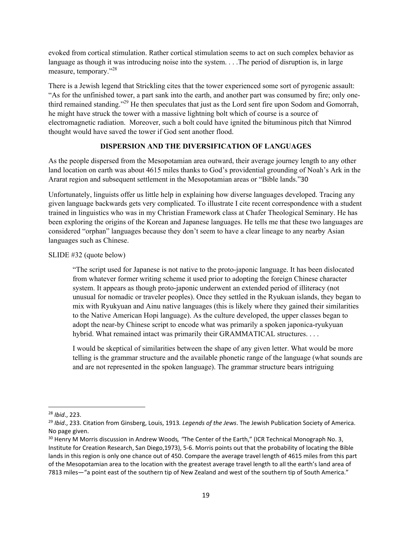evoked from cortical stimulation. Rather cortical stimulation seems to act on such complex behavior as language as though it was introducing noise into the system. . . .The period of disruption is, in large measure, temporary."28

There is a Jewish legend that Strickling cites that the tower experienced some sort of pyrogenic assault: "As for the unfinished tower, a part sank into the earth, and another part was consumed by fire; only onethird remained standing."29 He then speculates that just as the Lord sent fire upon Sodom and Gomorrah, he might have struck the tower with a massive lightning bolt which of course is a source of electromagnetic radiation. Moreover, such a bolt could have ignited the bituminous pitch that Nimrod thought would have saved the tower if God sent another flood.

## **DISPERSION AND THE DIVERSIFICATION OF LANGUAGES**

As the people dispersed from the Mesopotamian area outward, their average journey length to any other land location on earth was about 4615 miles thanks to God's providential grounding of Noah's Ark in the Ararat region and subsequent settlement in the Mesopotamian areas or "Bible lands."30

Unfortunately, linguists offer us little help in explaining how diverse languages developed. Tracing any given language backwards gets very complicated. To illustrate I cite recent correspondence with a student trained in linguistics who was in my Christian Framework class at Chafer Theological Seminary. He has been exploring the origins of the Korean and Japanese languages. He tells me that these two languages are considered "orphan" languages because they don't seem to have a clear lineage to any nearby Asian languages such as Chinese.

SLIDE #32 (quote below)

"The script used for Japanese is not native to the proto-japonic language. It has been dislocated from whatever former writing scheme it used prior to adopting the foreign Chinese character system. It appears as though proto-japonic underwent an extended period of illiteracy (not unusual for nomadic or traveler peoples). Once they settled in the Ryukuan islands, they began to mix with Ryukyuan and Ainu native languages (this is likely where they gained their similarities to the Native American Hopi language). As the culture developed, the upper classes began to adopt the near-by Chinese script to encode what was primarily a spoken japonica-ryukyuan hybrid. What remained intact was primarily their GRAMMATICAL structures. . . .

I would be skeptical of similarities between the shape of any given letter. What would be more telling is the grammar structure and the available phonetic range of the language (what sounds are and are not represented in the spoken language). The grammar structure bears intriguing

<sup>28</sup> *Ibid*., 223.

<sup>29</sup> *Ibid*., 233. Citation from Ginsberg, Louis, 1913*. Legends of the Jews*. The Jewish Publication Society of America. No page given.

<sup>30</sup> Henry M Morris discussion in Andrew Woods*, "*The Center of the Earth," (ICR Technical Monograph No. 3, Institute for Creation Research, San Diego,1973), 5‐6. Morris points out that the probability of locating the Bible lands in this region is only one chance out of 450. Compare the average travel length of 4615 miles from this part of the Mesopotamian area to the location with the greatest average travel length to all the earth's land area of 7813 miles—"a point east of the southern tip of New Zealand and west of the southern tip of South America."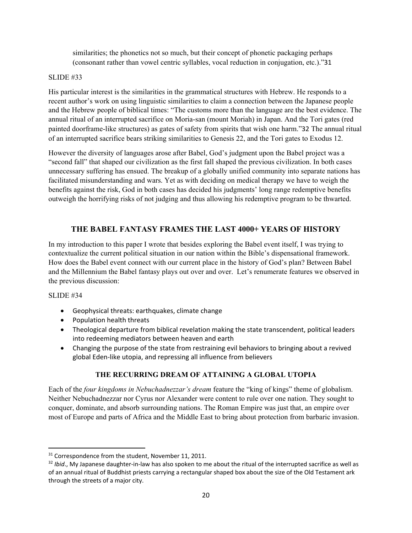similarities; the phonetics not so much, but their concept of phonetic packaging perhaps (consonant rather than vowel centric syllables, vocal reduction in conjugation, etc.)."31

## SLIDE #33

His particular interest is the similarities in the grammatical structures with Hebrew. He responds to a recent author's work on using linguistic similarities to claim a connection between the Japanese people and the Hebrew people of biblical times: "The customs more than the language are the best evidence. The annual ritual of an interrupted sacrifice on Moria-san (mount Moriah) in Japan. And the Tori gates (red painted doorframe-like structures) as gates of safety from spirits that wish one harm."32 The annual ritual of an interrupted sacrifice bears striking similarities to Genesis 22, and the Tori gates to Exodus 12.

However the diversity of languages arose after Babel, God's judgment upon the Babel project was a "second fall" that shaped our civilization as the first fall shaped the previous civilization. In both cases unnecessary suffering has ensued. The breakup of a globally unified community into separate nations has facilitated misunderstanding and wars. Yet as with deciding on medical therapy we have to weigh the benefits against the risk, God in both cases has decided his judgments' long range redemptive benefits outweigh the horrifying risks of not judging and thus allowing his redemptive program to be thwarted.

## **THE BABEL FANTASY FRAMES THE LAST 4000+ YEARS OF HISTORY**

In my introduction to this paper I wrote that besides exploring the Babel event itself, I was trying to contextualize the current political situation in our nation within the Bible's dispensational framework. How does the Babel event connect with our current place in the history of God's plan? Between Babel and the Millennium the Babel fantasy plays out over and over. Let's renumerate features we observed in the previous discussion:

#### SLIDE #34

- Geophysical threats: earthquakes, climate change
- Population health threats
- Theological departure from biblical revelation making the state transcendent, political leaders into redeeming mediators between heaven and earth
- Changing the purpose of the state from restraining evil behaviors to bringing about a revived global Eden‐like utopia, and repressing all influence from believers

#### **THE RECURRING DREAM OF ATTAINING A GLOBAL UTOPIA**

Each of the *four kingdoms in Nebuchadnezzar's dream* feature the "king of kings" theme of globalism. Neither Nebuchadnezzar nor Cyrus nor Alexander were content to rule over one nation. They sought to conquer, dominate, and absorb surrounding nations. The Roman Empire was just that, an empire over most of Europe and parts of Africa and the Middle East to bring about protection from barbaric invasion.

<sup>&</sup>lt;sup>31</sup> Correspondence from the student, November 11, 2011.

<sup>32</sup> *Ibid.*, My Japanese daughter-in-law has also spoken to me about the ritual of the interrupted sacrifice as well as of an annual ritual of Buddhist priests carrying a rectangular shaped box about the size of the Old Testament ark through the streets of a major city.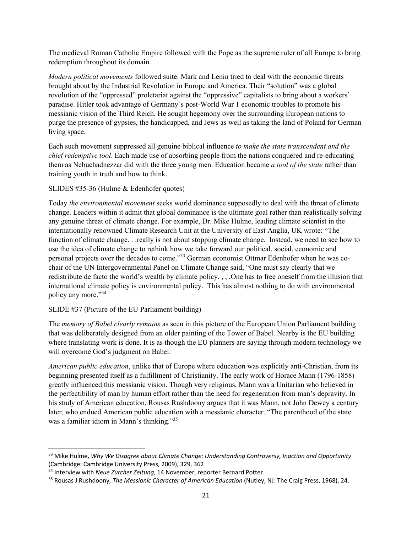The medieval Roman Catholic Empire followed with the Pope as the supreme ruler of all Europe to bring redemption throughout its domain.

*Modern political movements* followed suite. Mark and Lenin tried to deal with the economic threats brought about by the Industrial Revolution in Europe and America. Their "solution" was a global revolution of the "oppressed" proletariat against the "oppressive" capitalists to bring about a workers' paradise. Hitler took advantage of Germany's post-World War 1 economic troubles to promote his messianic vision of the Third Reich. He sought hegemony over the surrounding European nations to purge the presence of gypsies, the handicapped, and Jews as well as taking the land of Poland for German living space.

Each such movement suppressed all genuine biblical influence *to make the state transcendent and the chief redemptive tool*. Each made use of absorbing people from the nations conquered and re-educating them as Nebuchadnezzar did with the three young men. Education became *a tool of the state* rather than training youth in truth and how to think.

SLIDES #35-36 (Hulme & Edenhofer quotes)

Today *the environmental movement* seeks world dominance supposedly to deal with the threat of climate change. Leaders within it admit that global dominance is the ultimate goal rather than realistically solving any genuine threat of climate change. For example, Dr. Mike Hulme, leading climate scientist in the internationally renowned Climate Research Unit at the University of East Anglia, UK wrote: "The function of climate change. . .really is not about stopping climate change. Instead, we need to see how to use the idea of climate change to rethink how we take forward our political, social, economic and personal projects over the decades to come."33 German economist Ottmar Edenhofer when he was cochair of the UN Intergovernmental Panel on Climate Change said, "One must say clearly that we redistribute de facto the world's wealth by climate policy. , , ,One has to free oneself from the illusion that international climate policy is environmental policy. This has almost nothing to do with environmental policy any more."34

## SLIDE #37 (Picture of the EU Parliament building)

The *memory of Babel clearly remains* as seen in this picture of the European Union Parliament building that was deliberately designed from an older painting of the Tower of Babel. Nearby is the EU building where translating work is done. It is as though the EU planners are saying through modern technology we will overcome God's judgment on Babel.

*American public education*, unlike that of Europe where education was explicitly anti-Christian, from its beginning presented itself as a fulfillment of Christianity. The early work of Horace Mann (1796-1858) greatly influenced this messianic vision. Though very religious, Mann was a Unitarian who believed in the perfectibility of man by human effort rather than the need for regeneration from man's depravity. In his study of American education, Rousas Rushdoony argues that it was Mann, not John Dewey a century later, who endued American public education with a messianic character. "The parenthood of the state was a familiar idiom in Mann's thinking."<sup>35</sup>

<sup>33</sup> Mike Hulme, *Why We Disagree about Climate Change: Understanding Controversy, Inaction and Opportunity* (Cambridge: Cambridge University Press, 2009), 329, 362

<sup>34</sup> Interview with *Neue Zurcher Zeitung*, 14 November, reporter Bernard Potter.

<sup>35</sup> Rousas J Rushdoony, *The Messianic Character of American Education* (Nutley, NJ: The Craig Press, 1968), 24.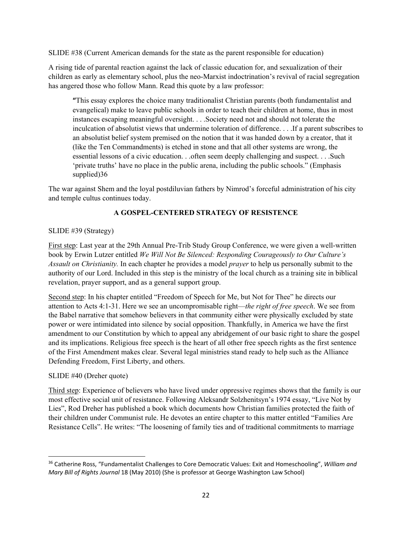SLIDE #38 (Current American demands for the state as the parent responsible for education)

A rising tide of parental reaction against the lack of classic education for, and sexualization of their children as early as elementary school, plus the neo-Marxist indoctrination's revival of racial segregation has angered those who follow Mann. Read this quote by a law professor:

**"**This essay explores the choice many traditionalist Christian parents (both fundamentalist and evangelical) make to leave public schools in order to teach their children at home, thus in most instances escaping meaningful oversight. . . .Society need not and should not tolerate the inculcation of absolutist views that undermine toleration of difference. . . .If a parent subscribes to an absolutist belief system premised on the notion that it was handed down by a creator, that it (like the Ten Commandments) is etched in stone and that all other systems are wrong, the essential lessons of a civic education. . .often seem deeply challenging and suspect. . . .Such 'private truths' have no place in the public arena, including the public schools." (Emphasis supplied)36

The war against Shem and the loyal postdiluvian fathers by Nimrod's forceful administration of his city and temple cultus continues today.

## **A GOSPEL-CENTERED STRATEGY OF RESISTENCE**

## SLIDE #39 (Strategy)

First step: Last year at the 29th Annual Pre-Trib Study Group Conference, we were given a well-written book by Erwin Lutzer entitled *We Will Not Be Silenced: Responding Courageously to Our Culture's Assault on Christianity.* In each chapter he provides a model *prayer* to help us personally submit to the authority of our Lord. Included in this step is the ministry of the local church as a training site in biblical revelation, prayer support, and as a general support group.

Second step: In his chapter entitled "Freedom of Speech for Me, but Not for Thee" he directs our attention to Acts 4:1-31. Here we see an uncompromisable right—*the right of free speech*. We see from the Babel narrative that somehow believers in that community either were physically excluded by state power or were intimidated into silence by social opposition. Thankfully, in America we have the first amendment to our Constitution by which to appeal any abridgement of our basic right to share the gospel and its implications. Religious free speech is the heart of all other free speech rights as the first sentence of the First Amendment makes clear. Several legal ministries stand ready to help such as the Alliance Defending Freedom, First Liberty, and others.

## SLIDE #40 (Dreher quote)

Third step: Experience of believers who have lived under oppressive regimes shows that the family is our most effective social unit of resistance. Following Aleksandr Solzhenitsyn's 1974 essay, "Live Not by Lies", Rod Dreher has published a book which documents how Christian families protected the faith of their children under Communist rule. He devotes an entire chapter to this matter entitled "Families Are Resistance Cells". He writes: "The loosening of family ties and of traditional commitments to marriage

<sup>36</sup> Catherine Ross, "Fundamentalist Challenges to Core Democratic Values: Exit and Homeschooling", *William and Mary Bill of Rights Journal* 18 (May 2010) (She is professor at George Washington Law School)